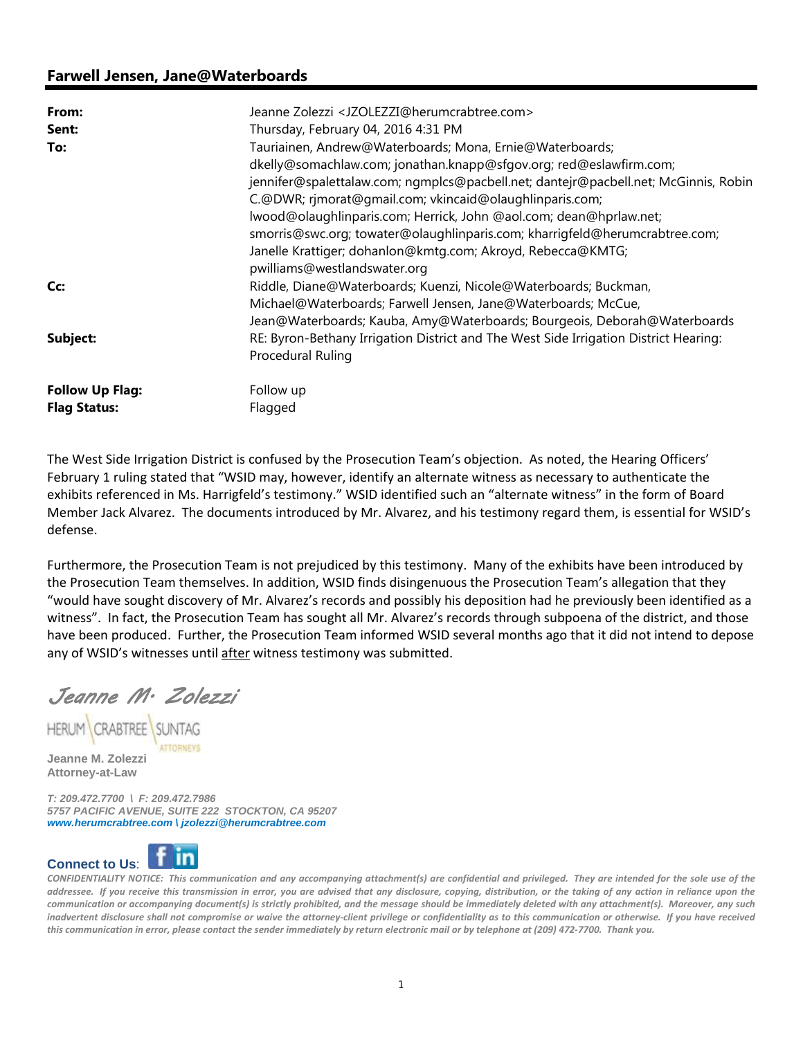## **Farwell Jensen, Jane@Waterboards**

| From:<br>Sent:         | Jeanne Zolezzi <jzolezzi@herumcrabtree.com><br/>Thursday, February 04, 2016 4:31 PM</jzolezzi@herumcrabtree.com>                                          |
|------------------------|-----------------------------------------------------------------------------------------------------------------------------------------------------------|
| To:                    | Tauriainen, Andrew@Waterboards; Mona, Ernie@Waterboards;                                                                                                  |
|                        | dkelly@somachlaw.com; jonathan.knapp@sfgov.org; red@eslawfirm.com;<br>jennifer@spalettalaw.com; ngmplcs@pacbell.net; dantejr@pacbell.net; McGinnis, Robin |
|                        | C.@DWR; rjmorat@gmail.com; vkincaid@olaughlinparis.com;                                                                                                   |
|                        | lwood@olaughlinparis.com; Herrick, John @aol.com; dean@hprlaw.net;                                                                                        |
|                        | smorris@swc.org; towater@olaughlinparis.com; kharrigfeld@herumcrabtree.com;                                                                               |
|                        | Janelle Krattiger; dohanlon@kmtg.com; Akroyd, Rebecca@KMTG;                                                                                               |
|                        | pwilliams@westlandswater.org                                                                                                                              |
| Cc:                    | Riddle, Diane@Waterboards; Kuenzi, Nicole@Waterboards; Buckman,                                                                                           |
|                        | Michael@Waterboards; Farwell Jensen, Jane@Waterboards; McCue,                                                                                             |
|                        | Jean@Waterboards; Kauba, Amy@Waterboards; Bourgeois, Deborah@Waterboards                                                                                  |
| Subject:               | RE: Byron-Bethany Irrigation District and The West Side Irrigation District Hearing:                                                                      |
|                        | Procedural Ruling                                                                                                                                         |
| <b>Follow Up Flag:</b> | Follow up                                                                                                                                                 |
| <b>Flag Status:</b>    | Flagged                                                                                                                                                   |

The West Side Irrigation District is confused by the Prosecution Team's objection. As noted, the Hearing Officers' February 1 ruling stated that "WSID may, however, identify an alternate witness as necessary to authenticate the exhibits referenced in Ms. Harrigfeld's testimony." WSID identified such an "alternate witness" in the form of Board Member Jack Alvarez. The documents introduced by Mr. Alvarez, and his testimony regard them, is essential for WSID's defense.

Furthermore, the Prosecution Team is not prejudiced by this testimony. Many of the exhibits have been introduced by the Prosecution Team themselves. In addition, WSID finds disingenuous the Prosecution Team's allegation that they "would have sought discovery of Mr. Alvarez's records and possibly his deposition had he previously been identified as a witness". In fact, the Prosecution Team has sought all Mr. Alvarez's records through subpoena of the district, and those have been produced. Further, the Prosecution Team informed WSID several months ago that it did not intend to depose any of WSID's witnesses until after witness testimony was submitted.

Jeanne M. Zolezzi

**HERUM CRABTREE** 

**Jeanne M. Zolezzi Attorney-at-Law** 

*T: 209.472.7700 \ F: 209.472.7986 5757 PACIFIC AVENUE, SUITE 222 STOCKTON, CA 95207 www.herumcrabtree.com \ jzolezzi@herumcrabtree.com*



CONFIDENTIALITY NOTICE: This communication and any accompanying attachment(s) are confidential and privileged. They are intended for the sole use of the addressee. If you receive this transmission in error, you are advised that any disclosure, copying, distribution, or the taking of any action in reliance upon the communication or accompanying document(s) is strictly prohibited, and the message should be immediately deleted with any attachment(s). Moreover, any such inadvertent disclosure shall not compromise or waive the attorney-client privilege or confidentiality as to this communication or otherwise. If you have received this communication in error, please contact the sender immediately by return electronic mail or by telephone at (209) 472-7700. Thank you.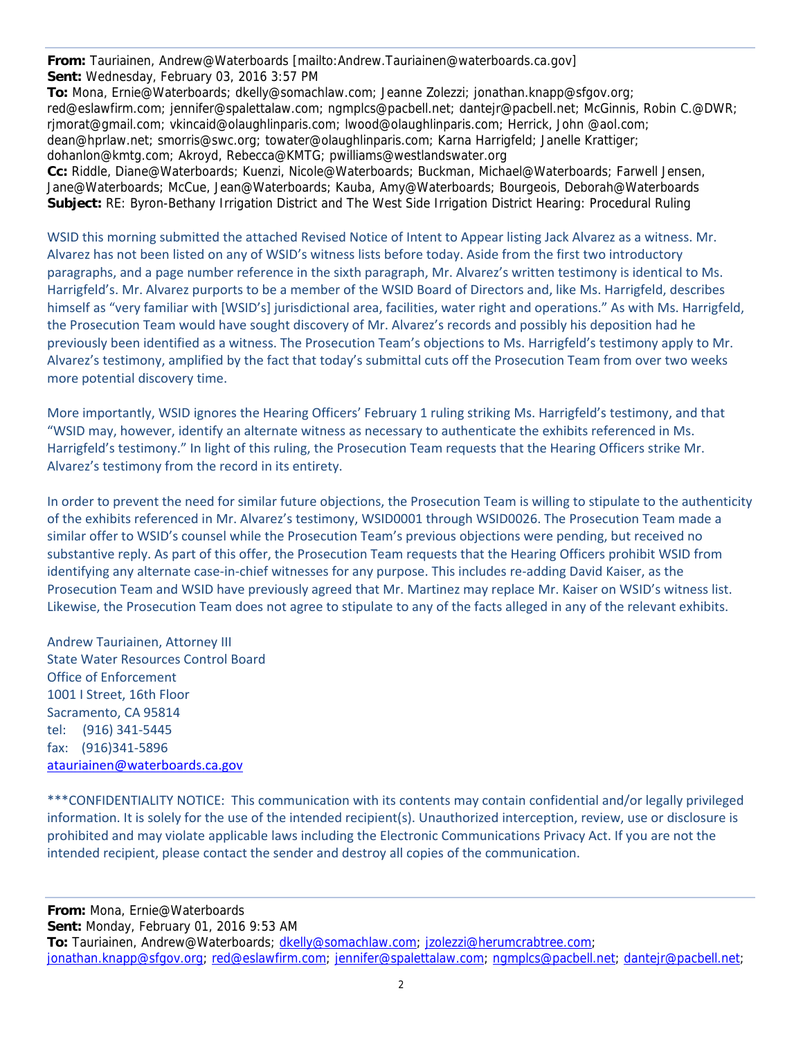**From:** Tauriainen, Andrew@Waterboards [mailto:Andrew.Tauriainen@waterboards.ca.gov] **Sent:** Wednesday, February 03, 2016 3:57 PM

**To:** Mona, Ernie@Waterboards; dkelly@somachlaw.com; Jeanne Zolezzi; jonathan.knapp@sfgov.org; red@eslawfirm.com; jennifer@spalettalaw.com; ngmplcs@pacbell.net; dantejr@pacbell.net; McGinnis, Robin C.@DWR; rjmorat@gmail.com; vkincaid@olaughlinparis.com; lwood@olaughlinparis.com; Herrick, John @aol.com; dean@hprlaw.net; smorris@swc.org; towater@olaughlinparis.com; Karna Harrigfeld; Janelle Krattiger; dohanlon@kmtg.com; Akroyd, Rebecca@KMTG; pwilliams@westlandswater.org **Cc:** Riddle, Diane@Waterboards; Kuenzi, Nicole@Waterboards; Buckman, Michael@Waterboards; Farwell Jensen, Jane@Waterboards; McCue, Jean@Waterboards; Kauba, Amy@Waterboards; Bourgeois, Deborah@Waterboards **Subject:** RE: Byron-Bethany Irrigation District and The West Side Irrigation District Hearing: Procedural Ruling

WSID this morning submitted the attached Revised Notice of Intent to Appear listing Jack Alvarez as a witness. Mr. Alvarez has not been listed on any of WSID's witness lists before today. Aside from the first two introductory paragraphs, and a page number reference in the sixth paragraph, Mr. Alvarez's written testimony is identical to Ms. Harrigfeld's. Mr. Alvarez purports to be a member of the WSID Board of Directors and, like Ms. Harrigfeld, describes himself as "very familiar with [WSID's] jurisdictional area, facilities, water right and operations." As with Ms. Harrigfeld, the Prosecution Team would have sought discovery of Mr. Alvarez's records and possibly his deposition had he previously been identified as a witness. The Prosecution Team's objections to Ms. Harrigfeld's testimony apply to Mr. Alvarez's testimony, amplified by the fact that today's submittal cuts off the Prosecution Team from over two weeks more potential discovery time.

More importantly, WSID ignores the Hearing Officers' February 1 ruling striking Ms. Harrigfeld's testimony, and that "WSID may, however, identify an alternate witness as necessary to authenticate the exhibits referenced in Ms. Harrigfeld's testimony." In light of this ruling, the Prosecution Team requests that the Hearing Officers strike Mr. Alvarez's testimony from the record in its entirety.

In order to prevent the need for similar future objections, the Prosecution Team is willing to stipulate to the authenticity of the exhibits referenced in Mr. Alvarez's testimony, WSID0001 through WSID0026. The Prosecution Team made a similar offer to WSID's counsel while the Prosecution Team's previous objections were pending, but received no substantive reply. As part of this offer, the Prosecution Team requests that the Hearing Officers prohibit WSID from identifying any alternate case‐in‐chief witnesses for any purpose. This includes re‐adding David Kaiser, as the Prosecution Team and WSID have previously agreed that Mr. Martinez may replace Mr. Kaiser on WSID's witness list. Likewise, the Prosecution Team does not agree to stipulate to any of the facts alleged in any of the relevant exhibits.

Andrew Tauriainen, Attorney III State Water Resources Control Board Office of Enforcement 1001 I Street, 16th Floor Sacramento, CA 95814 tel: (916) 341‐5445 fax: (916)341‐5896 atauriainen@waterboards.ca.gov

\*\*\*CONFIDENTIALITY NOTICE: This communication with its contents may contain confidential and/or legally privileged information. It is solely for the use of the intended recipient(s). Unauthorized interception, review, use or disclosure is prohibited and may violate applicable laws including the Electronic Communications Privacy Act. If you are not the intended recipient, please contact the sender and destroy all copies of the communication.

**From:** Mona, Ernie@Waterboards **Sent:** Monday, February 01, 2016 9:53 AM **To:** Tauriainen, Andrew@Waterboards; dkelly@somachlaw.com; jzolezzi@herumcrabtree.com; jonathan.knapp@sfgov.org; red@eslawfirm.com; jennifer@spalettalaw.com; ngmplcs@pacbell.net; dantejr@pacbell.net;